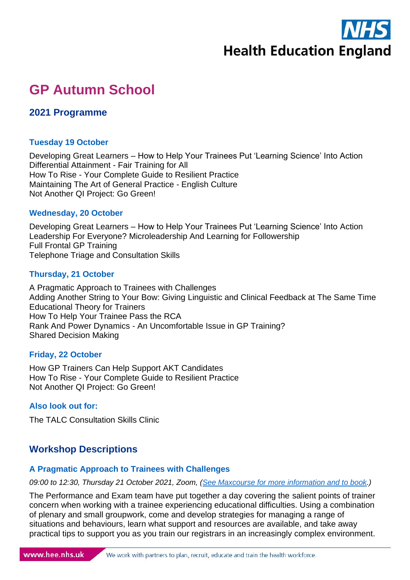

# **GP Autumn School**

## **2021 Programme**

#### **Tuesday 19 October**

Developing Great Learners – How to Help Your Trainees Put 'Learning Science' Into Action Differential Attainment - Fair Training for All How To Rise - Your Complete Guide to Resilient Practice Maintaining The Art of General Practice - English Culture Not Another QI Project: Go Green!

#### **Wednesday, 20 October**

Developing Great Learners – How to Help Your Trainees Put 'Learning Science' Into Action Leadership For Everyone? Microleadership And Learning for Followership Full Frontal GP Training Telephone Triage and Consultation Skills

#### **Thursday, 21 October**

A Pragmatic Approach to Trainees with Challenges Adding Another String to Your Bow: Giving Linguistic and Clinical Feedback at The Same Time Educational Theory for Trainers How To Help Your Trainee Pass the RCA Rank And Power Dynamics - An Uncomfortable Issue in GP Training? Shared Decision Making

#### **Friday, 22 October**

How GP Trainers Can Help Support AKT Candidates How To Rise - Your Complete Guide to Resilient Practice Not Another QI Project: Go Green!

#### **Also look out for:**

The TALC Consultation Skills Clinic

# **Workshop Descriptions**

#### **A Pragmatic Approach to Trainees with Challenges**

*09:00 to 12:30, Thursday 21 October 2021, Zoom, [\(See Maxcourse for more information and to book.](https://www.maxcourse.co.uk/HEEYHME/guestCourseMatchListCourseDetails.asp?cKey=17143))*

The Performance and Exam team have put together a day covering the salient points of trainer concern when working with a trainee experiencing educational difficulties. Using a combination of plenary and small groupwork, come and develop strategies for managing a range of situations and behaviours, learn what support and resources are available, and take away practical tips to support you as you train our registrars in an increasingly complex environment.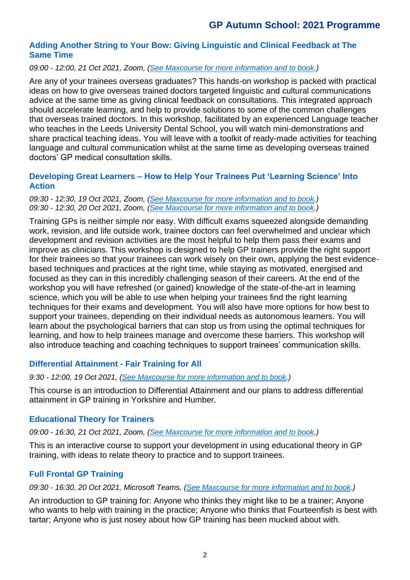#### **Adding Another String to Your Bow: Giving Linguistic and Clinical Feedback at The Same Time**

#### *09:00 - 12:00, 21 Oct 2021, Zoom, [\(See Maxcourse for more information and to book.](https://www.maxcourse.co.uk/HEEYHME/guestCourseMatchListCourseDetails.asp?cKey=17142))*

Are any of your trainees overseas graduates? This hands-on workshop is packed with practical ideas on how to give overseas trained doctors targeted linguistic and cultural communications advice at the same time as giving clinical feedback on consultations. This integrated approach should accelerate learning, and help to provide solutions to some of the common challenges that overseas trained doctors. In this workshop, facilitated by an experienced Language teacher who teaches in the Leeds University Dental School, you will watch mini-demonstrations and share practical teaching ideas. You will leave with a toolkit of ready-made activities for teaching language and cultural communication whilst at the same time as developing overseas trained doctors' GP medical consultation skills.

#### **Developing Great Learners – How to Help Your Trainees Put 'Learning Science' Into Action**

#### *09:30 - 12:30, 19 Oct 2021, Zoom, [\(See Maxcourse for more information and to book.](https://www.maxcourse.co.uk/HEEYHME/guestCourseMatchListCourseDetails.asp?cKey=17134)) 09:30 - 12:30, 20 Oct 2021, Zoom, [\(See Maxcourse for more information and to book.](https://www.maxcourse.co.uk/HEEYHME/guestCourseMatchListCourseDetails.asp?cKey=17153))*

Training GPs is neither simple nor easy. With difficult exams squeezed alongside demanding work, revision, and life outside work, trainee doctors can feel overwhelmed and unclear which development and revision activities are the most helpful to help them pass their exams and improve as clinicians. This workshop is designed to help GP trainers provide the right support for their trainees so that your trainees can work wisely on their own, applying the best evidencebased techniques and practices at the right time, while staying as motivated, energised and focused as they can in this incredibly challenging season of their careers. At the end of the workshop you will have refreshed (or gained) knowledge of the state-of-the-art in learning science, which you will be able to use when helping your trainees find the right learning techniques for their exams and development. You will also have more options for how best to support your trainees, depending on their individual needs as autonomous learners. You will learn about the psychological barriers that can stop us from using the optimal techniques for learning, and how to help trainees manage and overcome these barriers. This workshop will also introduce teaching and coaching techniques to support trainees' communication skills.

#### **Differential Attainment - Fair Training for All**

*9:30 - 12:00, 19 Oct 2021, [\(See Maxcourse for more information and to book.](https://www.maxcourse.co.uk/HEEYHME/guestCourseMatchListCourseDetails.asp?cKey=17138))*

This course is an introduction to Differential Attainment and our plans to address differential attainment in GP training in Yorkshire and Humber.

#### **Educational Theory for Trainers**

*09:00 - 16:30, 21 Oct 2021, Zoom, [\(See Maxcourse for more information and to book.](https://www.maxcourse.co.uk/HEEYHME/guestCourseMatchListCourseDetails.asp?cKey=17144))*

This is an interactive course to support your development in using educational theory in GP training, with ideas to relate theory to practice and to support trainees.

#### **Full Frontal GP Training**

*09:30 - 16:30, 20 Oct 2021, Microsoft Teams, [\(See Maxcourse for more information and to book.](https://www.maxcourse.co.uk/HEEYHME/guestCourseMatchListCourseDetails.asp?cKey=17140))*

An introduction to GP training for: Anyone who thinks they might like to be a trainer; Anyone who wants to help with training in the practice; Anyone who thinks that Fourteenfish is best with tartar; Anyone who is just nosey about how GP training has been mucked about with.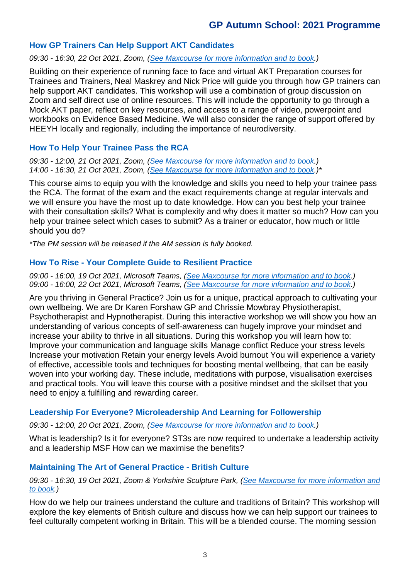## **GP Autumn School: 2021 Programme**

#### **How GP Trainers Can Help Support AKT Candidates**

*09:30 - 16:30, 22 Oct 2021, Zoom, [\(See Maxcourse for more information and to book.](https://www.maxcourse.co.uk/HEEYHME/guestCourseMatchListCourseDetails.asp?cKey=17149))*

Building on their experience of running face to face and virtual AKT Preparation courses for Trainees and Trainers, Neal Maskrey and Nick Price will guide you through how GP trainers can help support AKT candidates. This workshop will use a combination of group discussion on Zoom and self direct use of online resources. This will include the opportunity to go through a Mock AKT paper, reflect on key resources, and access to a range of video, powerpoint and workbooks on Evidence Based Medicine. We will also consider the range of support offered by HEEYH locally and regionally, including the importance of neurodiversity.

#### **How To Help Your Trainee Pass the RCA**

*09:30 - 12:00, 21 Oct 2021, Zoom, [\(See Maxcourse for more information and to book.](https://www.maxcourse.co.uk/HEEYHME/guestCourseMatchListCourseDetails.asp?cKey=17145)) 14:00 - 16:30, 21 Oct 2021, Zoom, [\(See Maxcourse for more information and to book.](https://www.maxcourse.co.uk/HEEYHME/guestCourseMatchListCourseDetails.asp?cKey=17151))\**

This course aims to equip you with the knowledge and skills you need to help your trainee pass the RCA. The format of the exam and the exact requirements change at regular intervals and we will ensure you have the most up to date knowledge. How can you best help your trainee with their consultation skills? What is complexity and why does it matter so much? How can you help your trainee select which cases to submit? As a trainer or educator, how much or little should you do?

*\*The PM session will be released if the AM session is fully booked.*

#### **How To Rise - Your Complete Guide to Resilient Practice**

*09:00 - 16:00, 19 Oct 2021, Microsoft Teams, [\(See Maxcourse for more information and to book.](https://www.maxcourse.co.uk/HEEYHME/guestCourseMatchListCourseDetails.asp?cKey=17133)) 09:00 - 16:00, 22 Oct 2021, Microsoft Teams, [\(See Maxcourse for more information and to book.](https://www.maxcourse.co.uk/HEEYHME/guestCourseMatchListCourseDetails.asp?cKey=17152))*

Are you thriving in General Practice? Join us for a unique, practical approach to cultivating your own wellbeing. We are Dr Karen Forshaw GP and Chrissie Mowbray Physiotherapist, Psychotherapist and Hypnotherapist. During this interactive workshop we will show you how an understanding of various concepts of self-awareness can hugely improve your mindset and increase your ability to thrive in all situations. During this workshop you will learn how to: Improve your communication and language skills Manage conflict Reduce your stress levels Increase your motivation Retain your energy levels Avoid burnout You will experience a variety of effective, accessible tools and techniques for boosting mental wellbeing, that can be easily woven into your working day. These include, meditations with purpose, visualisation exercises and practical tools. You will leave this course with a positive mindset and the skillset that you need to enjoy a fulfilling and rewarding career.

#### **Leadership For Everyone? Microleadership And Learning for Followership**

*09:30 - 12:00, 20 Oct 2021, Zoom, [\(See Maxcourse for more information and to book.](https://www.maxcourse.co.uk/HEEYHME/guestCourseMatchListCourseDetails.asp?cKey=17148))*

What is leadership? Is it for everyone? ST3s are now required to undertake a leadership activity and a leadership MSF How can we maximise the benefits?

#### **Maintaining The Art of General Practice - British Culture**

#### *09:30 - 16:30, 19 Oct 2021, Zoom & Yorkshire Sculpture Park, [\(See Maxcourse for more information and](https://www.maxcourse.co.uk/HEEYHME/guestCourseMatchListCourseDetails.asp?cKey=17136)  [to book.](https://www.maxcourse.co.uk/HEEYHME/guestCourseMatchListCourseDetails.asp?cKey=17136))*

How do we help our trainees understand the culture and traditions of Britain? This workshop will explore the key elements of British culture and discuss how we can help support our trainees to feel culturally competent working in Britain. This will be a blended course. The morning session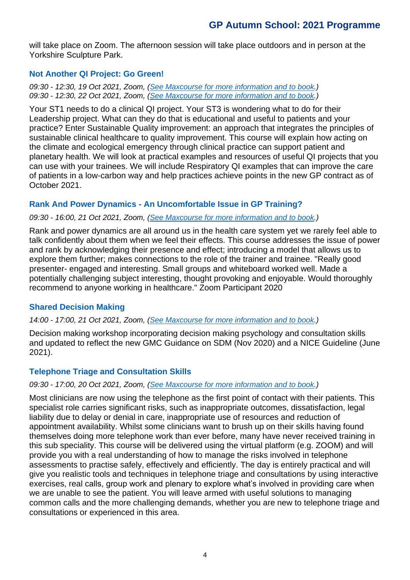# **GP Autumn School: 2021 Programme**

will take place on Zoom. The afternoon session will take place outdoors and in person at the Yorkshire Sculpture Park.

#### **Not Another QI Project: Go Green!**

*09:30 - 12:30, 19 Oct 2021, Zoom, [\(See Maxcourse for more information and to book.](https://www.maxcourse.co.uk/HEEYHME/guestCourseMatchListCourseDetails.asp?cKey=17135)) 09:30 - 12:30, 22 Oct 2021, Zoom, [\(See Maxcourse for more information and to book.](https://www.maxcourse.co.uk/HEEYHME/guestCourseMatchListCourseDetails.asp?cKey=17154))*

Your ST1 needs to do a clinical QI project. Your ST3 is wondering what to do for their Leadership project. What can they do that is educational and useful to patients and your practice? Enter Sustainable Quality improvement: an approach that integrates the principles of sustainable clinical healthcare to quality improvement. This course will explain how acting on the climate and ecological emergency through clinical practice can support patient and planetary health. We will look at practical examples and resources of useful QI projects that you can use with your trainees. We will include Respiratory QI examples that can improve the care of patients in a low-carbon way and help practices achieve points in the new GP contract as of October 2021.

#### **Rank And Power Dynamics - An Uncomfortable Issue in GP Training?**

#### *09:30 - 16:00, 21 Oct 2021, Zoom, [\(See Maxcourse for more information and to book.](https://www.maxcourse.co.uk/HEEYHME/guestCourseMatchListCourseDetails.asp?cKey=17146))*

Rank and power dynamics are all around us in the health care system yet we rarely feel able to talk confidently about them when we feel their effects. This course addresses the issue of power and rank by acknowledging their presence and effect; introducing a model that allows us to explore them further; makes connections to the role of the trainer and trainee. "Really good presenter- engaged and interesting. Small groups and whiteboard worked well. Made a potentially challenging subject interesting, thought provoking and enjoyable. Would thoroughly recommend to anyone working in healthcare." Zoom Participant 2020

#### **Shared Decision Making**

#### *14:00 - 17:00, 21 Oct 2021, Zoom, [\(See Maxcourse for more information and to book.](https://www.maxcourse.co.uk/HEEYHME/guestCourseMatchListCourseDetails.asp?cKey=17147))*

Decision making workshop incorporating decision making psychology and consultation skills and updated to reflect the new GMC Guidance on SDM (Nov 2020) and a NICE Guideline (June 2021).

#### **Telephone Triage and Consultation Skills**

#### *09:30 - 17:00, 20 Oct 2021, Zoom, [\(See Maxcourse for more information and to book.](https://www.maxcourse.co.uk/HEEYHME/guestCourseMatchListCourseDetails.asp?cKey=17141))*

Most clinicians are now using the telephone as the first point of contact with their patients. This specialist role carries significant risks, such as inappropriate outcomes, dissatisfaction, legal liability due to delay or denial in care, inappropriate use of resources and reduction of appointment availability. Whilst some clinicians want to brush up on their skills having found themselves doing more telephone work than ever before, many have never received training in this sub speciality. This course will be delivered using the virtual platform (e.g. ZOOM) and will provide you with a real understanding of how to manage the risks involved in telephone assessments to practise safely, effectively and efficiently. The day is entirely practical and will give you realistic tools and techniques in telephone triage and consultations by using interactive exercises, real calls, group work and plenary to explore what's involved in providing care when we are unable to see the patient. You will leave armed with useful solutions to managing common calls and the more challenging demands, whether you are new to telephone triage and consultations or experienced in this area.